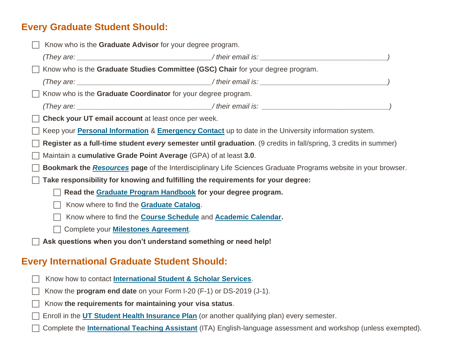## **Every Graduate Student Should:**

| Know who is the Graduate Advisor for your degree program.                                                              |  |  |  |  |  |  |
|------------------------------------------------------------------------------------------------------------------------|--|--|--|--|--|--|
|                                                                                                                        |  |  |  |  |  |  |
| Know who is the Graduate Studies Committee (GSC) Chair for your degree program.                                        |  |  |  |  |  |  |
| (They are: $\sqrt{ }$                                                                                                  |  |  |  |  |  |  |
| Know who is the Graduate Coordinator for your degree program.                                                          |  |  |  |  |  |  |
| (They are: $\_\_\_\_\_\_\_\_\_$ their email is: $\_\_\_\_\_\_\_\_\_\_\_\_\_\_\_$                                       |  |  |  |  |  |  |
| Check your UT email account at least once per week.                                                                    |  |  |  |  |  |  |
| Keep your <b>Personal Information</b> & <b>Emergency Contact</b> up to date in the University information system.      |  |  |  |  |  |  |
| Register as a full-time student every semester until graduation. (9 credits in fall/spring, 3 credits in summer)       |  |  |  |  |  |  |
| Maintain a cumulative Grade Point Average (GPA) of at least 3.0.                                                       |  |  |  |  |  |  |
| Bookmark the Resources page of the Interdisciplinary Life Sciences Graduate Programs website in your browser.          |  |  |  |  |  |  |
| Take responsibility for knowing and fulfilling the requirements for your degree:                                       |  |  |  |  |  |  |
| Read the Graduate Program Handbook for your degree program.                                                            |  |  |  |  |  |  |
| Know where to find the Graduate Catalog.                                                                               |  |  |  |  |  |  |
| Know where to find the <b>Course Schedule</b> and <b>Academic Calendar.</b>                                            |  |  |  |  |  |  |
| Complete your <b>Milestones Agreement</b> .                                                                            |  |  |  |  |  |  |
| Ask questions when you don't understand something or need help!                                                        |  |  |  |  |  |  |
| <b>Every International Graduate Student Should:</b>                                                                    |  |  |  |  |  |  |
| Know how to contact International Student & Scholar Services.                                                          |  |  |  |  |  |  |
| Know the <b>program end date</b> on your Form I-20 (F-1) or DS-2019 (J-1).                                             |  |  |  |  |  |  |
| Know the requirements for maintaining your visa status.                                                                |  |  |  |  |  |  |
| Enroll in the UT Student Health Insurance Plan (or another qualifying plan) every semester.                            |  |  |  |  |  |  |
| Complete the <b>International Teaching Assistant</b> (ITA) English-language assessment and workshop (unless exempted). |  |  |  |  |  |  |
|                                                                                                                        |  |  |  |  |  |  |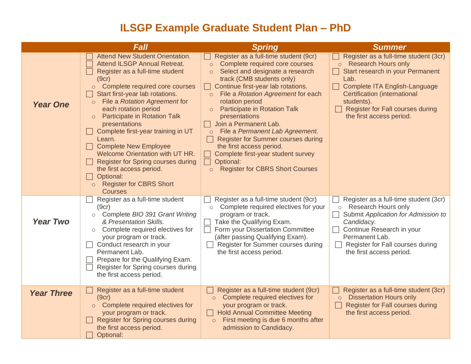## **ILSGP Example Graduate Student Plan – PhD**

|                   | <b>Fall</b>                                                                                                                                                                                                                                                                                                                                                                                                                                                                                                                                                                                                       | <b>Spring</b>                                                                                                                                                                                                                                                                                                                                                                                                                                                                                                                                                                                         | <b>Summer</b>                                                                                                                                                                                                                                                                           |
|-------------------|-------------------------------------------------------------------------------------------------------------------------------------------------------------------------------------------------------------------------------------------------------------------------------------------------------------------------------------------------------------------------------------------------------------------------------------------------------------------------------------------------------------------------------------------------------------------------------------------------------------------|-------------------------------------------------------------------------------------------------------------------------------------------------------------------------------------------------------------------------------------------------------------------------------------------------------------------------------------------------------------------------------------------------------------------------------------------------------------------------------------------------------------------------------------------------------------------------------------------------------|-----------------------------------------------------------------------------------------------------------------------------------------------------------------------------------------------------------------------------------------------------------------------------------------|
| <b>Year One</b>   | <b>Attend New Student Orientation.</b><br><b>Attend ILSGP Annual Retreat.</b><br>Register as a full-time student<br>(9cr)<br>Complete required core courses<br>$\circ$<br>Start first-year lab rotations.<br>File a Rotation Agreement for<br>$\circ$<br>each rotation period<br><b>Participate in Rotation Talk</b><br>$\circ$<br>presentations<br>Complete first-year training in UT<br>Learn.<br><b>Complete New Employee</b><br>Welcome Orientation with UT HR.<br>Register for Spring courses during<br>the first access period.<br>Optional:<br><b>Register for CBRS Short</b><br>$\circ$<br><b>Courses</b> | Register as a full-time student (9cr)<br>Complete required core courses<br>$\circ$<br>Select and designate a research<br>$\circ$<br>track (CMB students only)<br>Continue first-year lab rotations.<br>a s<br>File a Rotation Agreement for each<br>$\circ$<br>rotation period<br>Participate in Rotation Talk<br>$\circ$<br>presentations<br>Join a Permanent Lab.<br>File a Permanent Lab Agreement.<br>$\circ$<br>Register for Summer courses during<br>the first access period.<br>Complete first-year student survey<br>Optional:<br>$\Box$<br><b>Register for CBRS Short Courses</b><br>$\circ$ | Register as a full-time student (3cr)<br><b>Research Hours only</b><br>$\circ$<br>Start research in your Permanent<br>Lab.<br><b>Complete ITA English-Language</b><br><b>Certification (international</b><br>students).<br>Register for Fall courses during<br>the first access period. |
| <b>Year Two</b>   | Register as a full-time student<br>(9cr)<br>Complete BIO 391 Grant Writing<br>$\circ$<br>& Presentation Skills.<br>Complete required electives for<br>$\circ$<br>your program or track.<br>Conduct research in your<br>Permanent Lab.<br>Prepare for the Qualifying Exam.<br>Register for Spring courses during<br>the first access period.                                                                                                                                                                                                                                                                       | Register as a full-time student (9cr)<br>Complete required electives for your<br>$\circ$<br>program or track.<br>Take the Qualifying Exam.<br>Form your Dissertation Committee<br>$\Box$<br>(after passing Qualifying Exam).<br>Register for Summer courses during<br>the first access period.                                                                                                                                                                                                                                                                                                        | Register as a full-time student (3cr)<br>Research Hours only<br>$\circ$<br>Submit Application for Admission to<br>Candidacy.<br>Continue Research in your<br>Permanent Lab.<br>Register for Fall courses during<br>the first access period.                                             |
| <b>Year Three</b> | Register as a full-time student<br>(9cr)<br>Complete required electives for<br>$\circ$<br>your program or track.<br><b>Register for Spring courses during</b><br>the first access period.<br>Optional:                                                                                                                                                                                                                                                                                                                                                                                                            | Register as a full-time student (9cr)<br>o Complete required electives for<br>your program or track.<br>Hold Annual Committee Meeting<br>First meeting is due 6 months after<br>$\circ$<br>admission to Candidacy.                                                                                                                                                                                                                                                                                                                                                                                    | Register as a full-time student (3cr)<br><b>Dissertation Hours only</b><br>$\circ$<br>Register for Fall courses during<br>the first access period.                                                                                                                                      |